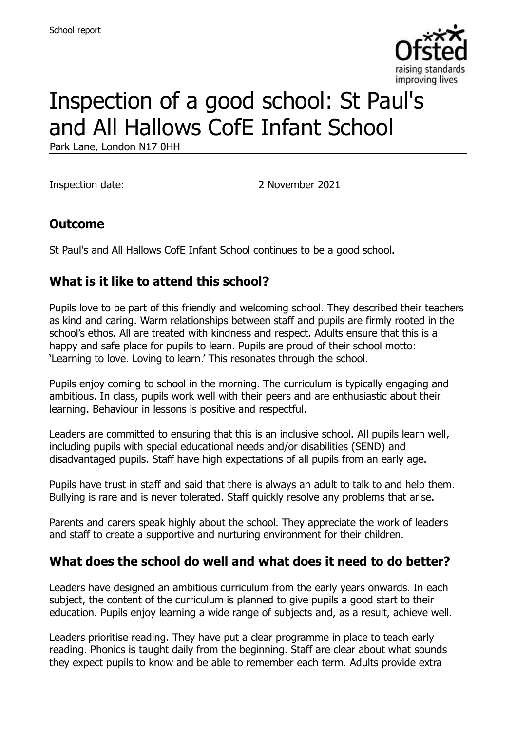

# Inspection of a good school: St Paul's and All Hallows CofE Infant School

Park Lane, London N17 0HH

Inspection date: 2 November 2021

#### **Outcome**

St Paul's and All Hallows CofE Infant School continues to be a good school.

#### **What is it like to attend this school?**

Pupils love to be part of this friendly and welcoming school. They described their teachers as kind and caring. Warm relationships between staff and pupils are firmly rooted in the school's ethos. All are treated with kindness and respect. Adults ensure that this is a happy and safe place for pupils to learn. Pupils are proud of their school motto: 'Learning to love. Loving to learn.' This resonates through the school.

Pupils enjoy coming to school in the morning. The curriculum is typically engaging and ambitious. In class, pupils work well with their peers and are enthusiastic about their learning. Behaviour in lessons is positive and respectful.

Leaders are committed to ensuring that this is an inclusive school. All pupils learn well, including pupils with special educational needs and/or disabilities (SEND) and disadvantaged pupils. Staff have high expectations of all pupils from an early age.

Pupils have trust in staff and said that there is always an adult to talk to and help them. Bullying is rare and is never tolerated. Staff quickly resolve any problems that arise.

Parents and carers speak highly about the school. They appreciate the work of leaders and staff to create a supportive and nurturing environment for their children.

#### **What does the school do well and what does it need to do better?**

Leaders have designed an ambitious curriculum from the early years onwards. In each subject, the content of the curriculum is planned to give pupils a good start to their education. Pupils enjoy learning a wide range of subjects and, as a result, achieve well.

Leaders prioritise reading. They have put a clear programme in place to teach early reading. Phonics is taught daily from the beginning. Staff are clear about what sounds they expect pupils to know and be able to remember each term. Adults provide extra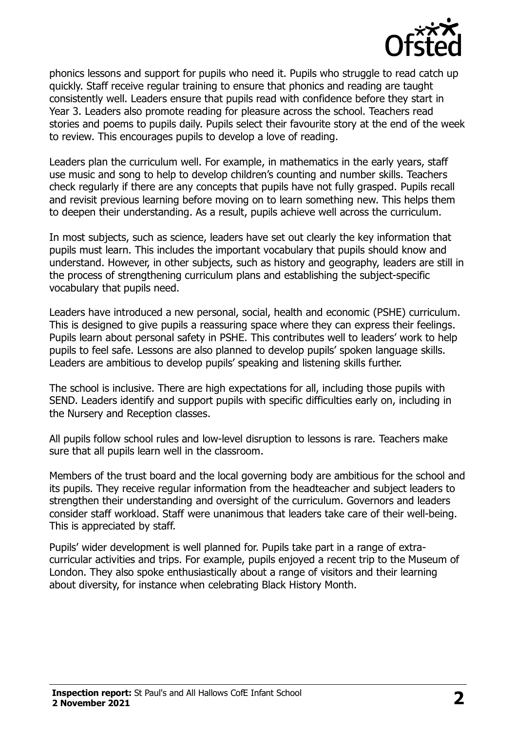

phonics lessons and support for pupils who need it. Pupils who struggle to read catch up quickly. Staff receive regular training to ensure that phonics and reading are taught consistently well. Leaders ensure that pupils read with confidence before they start in Year 3. Leaders also promote reading for pleasure across the school. Teachers read stories and poems to pupils daily. Pupils select their favourite story at the end of the week to review. This encourages pupils to develop a love of reading.

Leaders plan the curriculum well. For example, in mathematics in the early years, staff use music and song to help to develop children's counting and number skills. Teachers check regularly if there are any concepts that pupils have not fully grasped. Pupils recall and revisit previous learning before moving on to learn something new. This helps them to deepen their understanding. As a result, pupils achieve well across the curriculum.

In most subjects, such as science, leaders have set out clearly the key information that pupils must learn. This includes the important vocabulary that pupils should know and understand. However, in other subjects, such as history and geography, leaders are still in the process of strengthening curriculum plans and establishing the subject-specific vocabulary that pupils need.

Leaders have introduced a new personal, social, health and economic (PSHE) curriculum. This is designed to give pupils a reassuring space where they can express their feelings. Pupils learn about personal safety in PSHE. This contributes well to leaders' work to help pupils to feel safe. Lessons are also planned to develop pupils' spoken language skills. Leaders are ambitious to develop pupils' speaking and listening skills further.

The school is inclusive. There are high expectations for all, including those pupils with SEND. Leaders identify and support pupils with specific difficulties early on, including in the Nursery and Reception classes.

All pupils follow school rules and low-level disruption to lessons is rare. Teachers make sure that all pupils learn well in the classroom.

Members of the trust board and the local governing body are ambitious for the school and its pupils. They receive regular information from the headteacher and subject leaders to strengthen their understanding and oversight of the curriculum. Governors and leaders consider staff workload. Staff were unanimous that leaders take care of their well-being. This is appreciated by staff.

Pupils' wider development is well planned for. Pupils take part in a range of extracurricular activities and trips. For example, pupils enjoyed a recent trip to the Museum of London. They also spoke enthusiastically about a range of visitors and their learning about diversity, for instance when celebrating Black History Month.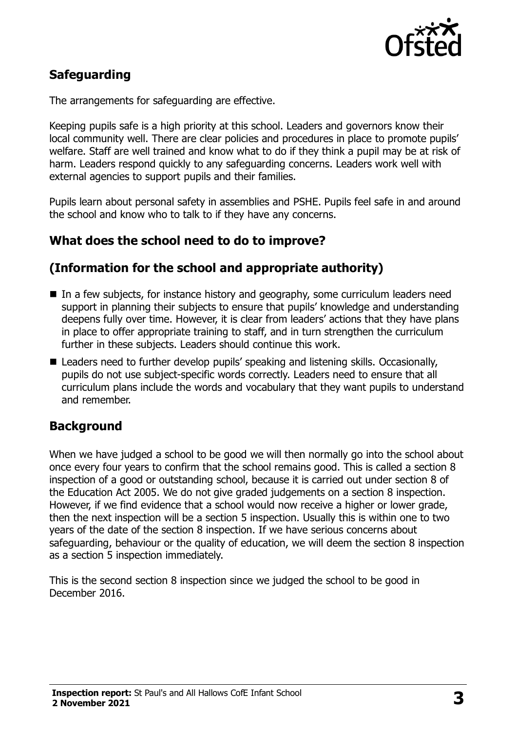

# **Safeguarding**

The arrangements for safeguarding are effective.

Keeping pupils safe is a high priority at this school. Leaders and governors know their local community well. There are clear policies and procedures in place to promote pupils' welfare. Staff are well trained and know what to do if they think a pupil may be at risk of harm. Leaders respond quickly to any safeguarding concerns. Leaders work well with external agencies to support pupils and their families.

Pupils learn about personal safety in assemblies and PSHE. Pupils feel safe in and around the school and know who to talk to if they have any concerns.

## **What does the school need to do to improve?**

#### **(Information for the school and appropriate authority)**

- In a few subjects, for instance history and geography, some curriculum leaders need support in planning their subjects to ensure that pupils' knowledge and understanding deepens fully over time. However, it is clear from leaders' actions that they have plans in place to offer appropriate training to staff, and in turn strengthen the curriculum further in these subjects. Leaders should continue this work.
- Leaders need to further develop pupils' speaking and listening skills. Occasionally, pupils do not use subject-specific words correctly. Leaders need to ensure that all curriculum plans include the words and vocabulary that they want pupils to understand and remember.

#### **Background**

When we have judged a school to be good we will then normally go into the school about once every four years to confirm that the school remains good. This is called a section 8 inspection of a good or outstanding school, because it is carried out under section 8 of the Education Act 2005. We do not give graded judgements on a section 8 inspection. However, if we find evidence that a school would now receive a higher or lower grade, then the next inspection will be a section 5 inspection. Usually this is within one to two years of the date of the section 8 inspection. If we have serious concerns about safeguarding, behaviour or the quality of education, we will deem the section 8 inspection as a section 5 inspection immediately.

This is the second section 8 inspection since we judged the school to be good in December 2016.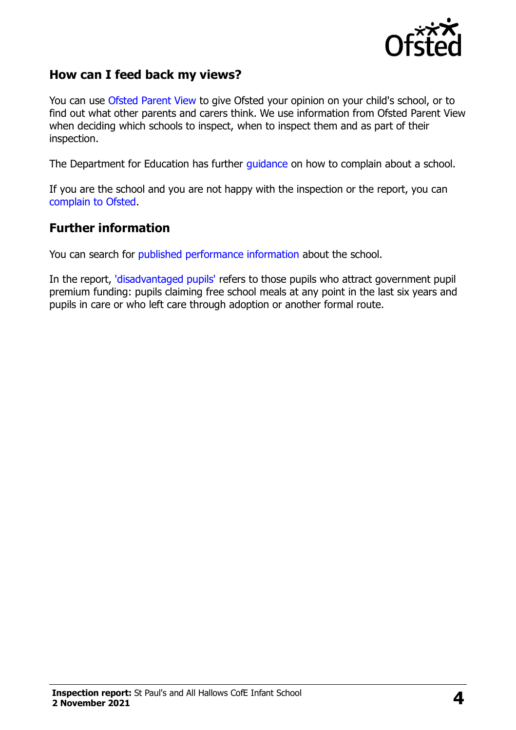

#### **How can I feed back my views?**

You can use [Ofsted Parent View](https://parentview.ofsted.gov.uk/) to give Ofsted your opinion on your child's school, or to find out what other parents and carers think. We use information from Ofsted Parent View when deciding which schools to inspect, when to inspect them and as part of their inspection.

The Department for Education has further [guidance](http://www.gov.uk/complain-about-school) on how to complain about a school.

If you are the school and you are not happy with the inspection or the report, you can [complain to Ofsted.](https://www.gov.uk/complain-ofsted-report)

#### **Further information**

You can search for [published performance information](http://www.compare-school-performance.service.gov.uk/) about the school.

In the report, ['disadvantaged pupils'](http://www.gov.uk/guidance/pupil-premium-information-for-schools-and-alternative-provision-settings) refers to those pupils who attract government pupil premium funding: pupils claiming free school meals at any point in the last six years and pupils in care or who left care through adoption or another formal route.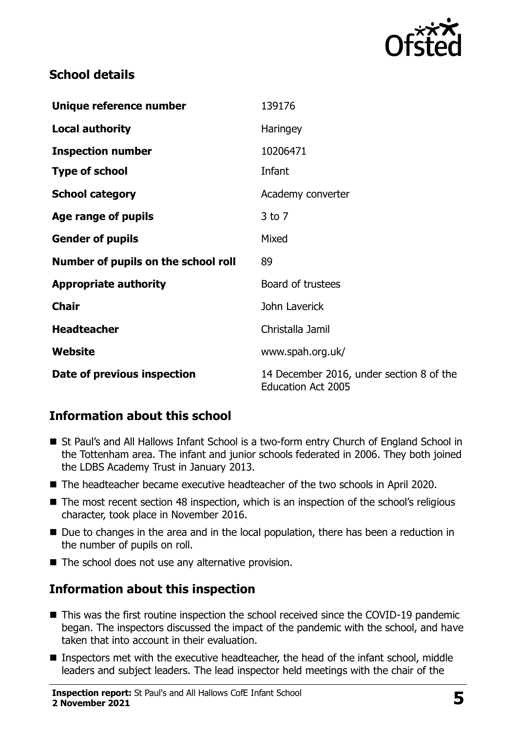

### **School details**

| Unique reference number             | 139176                                                                |
|-------------------------------------|-----------------------------------------------------------------------|
| <b>Local authority</b>              | <b>Haringey</b>                                                       |
| <b>Inspection number</b>            | 10206471                                                              |
| <b>Type of school</b>               | Infant                                                                |
| <b>School category</b>              | Academy converter                                                     |
| Age range of pupils                 | $3$ to $7$                                                            |
| <b>Gender of pupils</b>             | Mixed                                                                 |
| Number of pupils on the school roll | 89                                                                    |
| <b>Appropriate authority</b>        | Board of trustees                                                     |
| <b>Chair</b>                        | John Laverick                                                         |
| <b>Headteacher</b>                  | Christalla Jamil                                                      |
| Website                             | www.spah.org.uk/                                                      |
| Date of previous inspection         | 14 December 2016, under section 8 of the<br><b>Education Act 2005</b> |

# **Information about this school**

- St Paul's and All Hallows Infant School is a two-form entry Church of England School in the Tottenham area. The infant and junior schools federated in 2006. They both joined the LDBS Academy Trust in January 2013.
- The headteacher became executive headteacher of the two schools in April 2020.
- The most recent section 48 inspection, which is an inspection of the school's religious character, took place in November 2016.
- Due to changes in the area and in the local population, there has been a reduction in the number of pupils on roll.
- The school does not use any alternative provision.

# **Information about this inspection**

- This was the first routine inspection the school received since the COVID-19 pandemic began. The inspectors discussed the impact of the pandemic with the school, and have taken that into account in their evaluation.
- Inspectors met with the executive headteacher, the head of the infant school, middle leaders and subject leaders. The lead inspector held meetings with the chair of the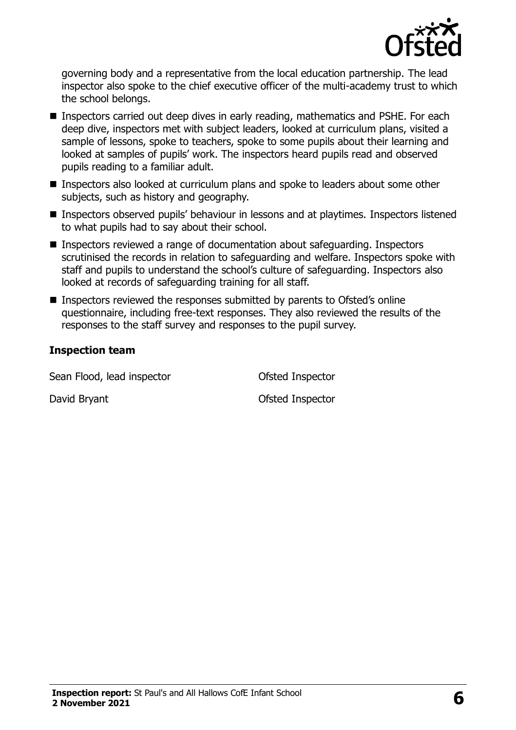

governing body and a representative from the local education partnership. The lead inspector also spoke to the chief executive officer of the multi-academy trust to which the school belongs.

- Inspectors carried out deep dives in early reading, mathematics and PSHE. For each deep dive, inspectors met with subject leaders, looked at curriculum plans, visited a sample of lessons, spoke to teachers, spoke to some pupils about their learning and looked at samples of pupils' work. The inspectors heard pupils read and observed pupils reading to a familiar adult.
- Inspectors also looked at curriculum plans and spoke to leaders about some other subjects, such as history and geography.
- Inspectors observed pupils' behaviour in lessons and at playtimes. Inspectors listened to what pupils had to say about their school.
- Inspectors reviewed a range of documentation about safeguarding. Inspectors scrutinised the records in relation to safeguarding and welfare. Inspectors spoke with staff and pupils to understand the school's culture of safeguarding. Inspectors also looked at records of safeguarding training for all staff.
- Inspectors reviewed the responses submitted by parents to Ofsted's online questionnaire, including free-text responses. They also reviewed the results of the responses to the staff survey and responses to the pupil survey.

#### **Inspection team**

Sean Flood, lead inspector **Sean Flood**, lead inspector

David Bryant **David Bryant Ofsted Inspector**